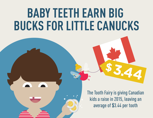# **BABY TEETH EARN BIG BUCKS FOR LITTLE CANUCKS**

The Tooth Fairy is giving Canadian kids a raise in 2015, leaving an average of \$3.44 per tooth

**\$3.44**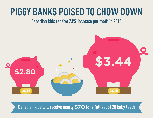#### **PIGGY BANKS POISED TO CHOW DOWN**

Canadian kids receive 23% increase per tooth in 2015



Canadian kids will receive nearly **\$70** for a full set of 20 baby teeth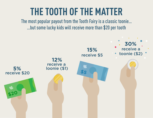#### **THE TOOTH OF THE MATTER**

The most popular payout from the Tooth Fairy is a classic toonie… …but some lucky kids will receive more than \$20 per tooth

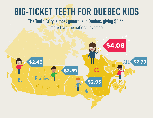## **BIG-TICKET TEETH FOR QUEBEC KIDS**

The Tooth Fairy is most generous in Quebec, giving \$0.64 more than the national average

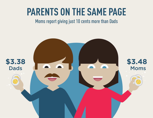#### **PARENTS ON THE SAME PAGE**

#### Moms report giving just 10 cents more than Dads